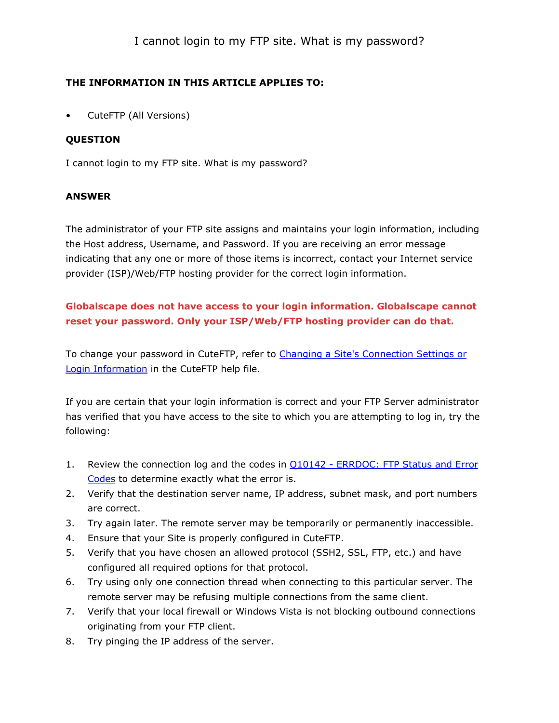### THE INFORMATION IN THIS ARTICLE APPLIES TO:

• CuteFTP (All Versions)

#### **OUESTION**

I cannot login to my FTP site. What is my password?

#### ANSWER

The administrator of your FTP site assigns and maintains your login information, including the Host address, Username, and Password. If you are receiving an error message indicating that any one or more of those items is incorrect, contact your Internet service provider (ISP)/Web/FTP hosting provider for the correct login information.

## Globalscape does not have access to your login information. Globalscape cannot reset your password. Only your ISP/Web/FTP hosting provider can do that.

To change your password in CuteFTP, refer to [Changing](http://help.globalscape.com/help/cuteftppro8/Changing_a_Site_s_Connection_Settings_or_Login_Information.htm) [a](http://help.globalscape.com/help/cuteftppro8/Changing_a_Site_s_Connection_Settings_or_Login_Information.htm) [Site's](http://help.globalscape.com/help/cuteftppro8/Changing_a_Site_s_Connection_Settings_or_Login_Information.htm) [Connection](http://help.globalscape.com/help/cuteftppro8/Changing_a_Site_s_Connection_Settings_or_Login_Information.htm) [Settings](http://help.globalscape.com/help/cuteftppro8/Changing_a_Site_s_Connection_Settings_or_Login_Information.htm) [or](http://help.globalscape.com/help/cuteftppro8/Changing_a_Site_s_Connection_Settings_or_Login_Information.htm) [Login](http://help.globalscape.com/help/cuteftppro8/Changing_a_Site_s_Connection_Settings_or_Login_Information.htm) [Information](http://help.globalscape.com/help/cuteftppro8/Changing_a_Site_s_Connection_Settings_or_Login_Information.htm) in the CuteFTP help file.

If you are certain that your login information is correct and your FTP Server administrator has verified that you have access to the site to which you are attempting to log in, try the following:

- 1. Review the connection log and the codes in [Q10142](https://kb.globalscape.com/KnowledgebaseArticle10142.aspx) [-](https://kb.globalscape.com/KnowledgebaseArticle10142.aspx) [ERRDOC:](https://kb.globalscape.com/KnowledgebaseArticle10142.aspx) [FTP](https://kb.globalscape.com/KnowledgebaseArticle10142.aspx) [Status](https://kb.globalscape.com/KnowledgebaseArticle10142.aspx) [and](https://kb.globalscape.com/KnowledgebaseArticle10142.aspx) [Error](https://kb.globalscape.com/KnowledgebaseArticle10142.aspx) [Codes](https://kb.globalscape.com/KnowledgebaseArticle10142.aspx) to determine exactly what the error is.
- 2. Verify that the destination server name, IP address, subnet mask, and port numbers are correct.
- 3. Try again later. The remote server may be temporarily or permanently inaccessible.
- 4. Ensure that your Site is properly configured in CuteFTP.
- 5. Verify that you have chosen an allowed protocol (SSH2, SSL, FTP, etc.) and have configured all required options for that protocol.
- 6. Try using only one connection thread when connecting to this particular server. The remote server may be refusing multiple connections from the same client.
- 7. Verify that your local firewall or Windows Vista is not blocking outbound connections originating from your FTP client.
- 8. Try pinging the IP address of the server.